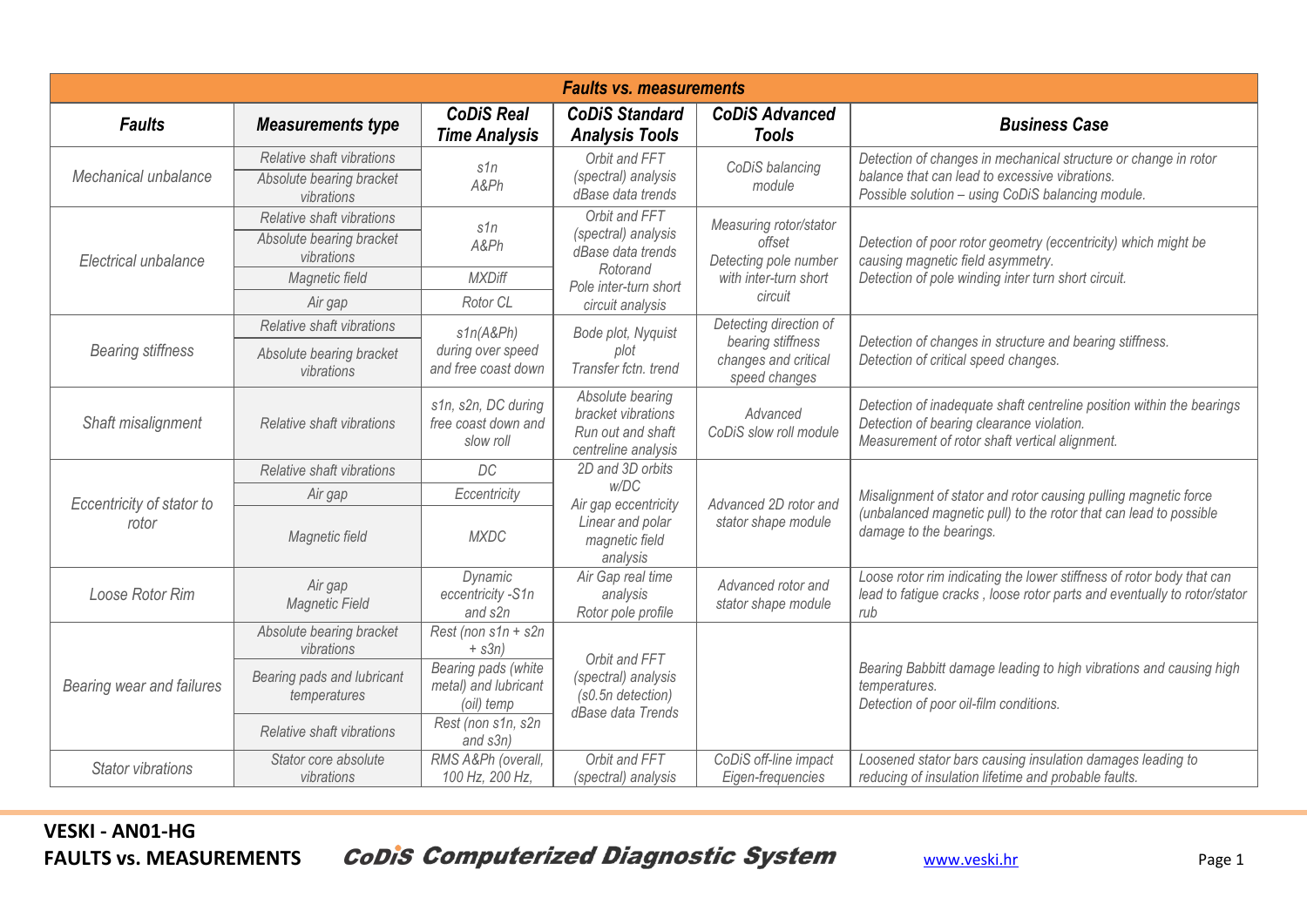| <b>Faults vs. measurements</b>     |                                                                     |                                                           |                                                                                                                    |                                                                                               |                                                                                                                                                                        |  |  |  |  |
|------------------------------------|---------------------------------------------------------------------|-----------------------------------------------------------|--------------------------------------------------------------------------------------------------------------------|-----------------------------------------------------------------------------------------------|------------------------------------------------------------------------------------------------------------------------------------------------------------------------|--|--|--|--|
| <b>Faults</b>                      | <b>Measurements type</b>                                            | <b>CoDiS Real</b><br><b>Time Analysis</b>                 | <b>CoDiS Standard</b><br><b>Analysis Tools</b>                                                                     | <b>CoDiS Advanced</b><br><b>Tools</b>                                                         | <b>Business Case</b>                                                                                                                                                   |  |  |  |  |
| Mechanical unbalance               | Relative shaft vibrations<br>Absolute bearing bracket<br>vibrations | s1n<br>A&Ph                                               | Orbit and FFT<br>(spectral) analysis<br>dBase data trends                                                          | CoDiS balancing<br>module                                                                     | Detection of changes in mechanical structure or change in rotor<br>balance that can lead to excessive vibrations.<br>Possible solution - using CoDiS balancing module. |  |  |  |  |
| Electrical unbalance               | Relative shaft vibrations<br>Absolute bearing bracket<br>vibrations | s1n<br>A&Ph                                               | Orbit and FFT<br>(spectral) analysis<br>dBase data trends<br>Rotorand<br>Pole inter-turn short<br>circuit analysis | Measuring rotor/stator<br>offset<br>Detecting pole number<br>with inter-turn short<br>circuit | Detection of poor rotor geometry (eccentricity) which might be<br>causing magnetic field asymmetry.<br>Detection of pole winding inter turn short circuit.             |  |  |  |  |
|                                    | Magnetic field<br>Air gap                                           | <b>MXDiff</b><br>Rotor CL                                 |                                                                                                                    |                                                                                               |                                                                                                                                                                        |  |  |  |  |
| <b>Bearing stiffness</b>           | Relative shaft vibrations<br>Absolute bearing bracket<br>vibrations | s1n(A&Ph)<br>during over speed<br>and free coast down     | Bode plot, Nyquist<br>plot<br>Transfer fctn. trend                                                                 | Detecting direction of<br>bearing stiffness<br>changes and critical<br>speed changes          | Detection of changes in structure and bearing stiffness.<br>Detection of critical speed changes.                                                                       |  |  |  |  |
| Shaft misalignment                 | Relative shaft vibrations                                           | s1n, s2n, DC during<br>free coast down and<br>slow roll   | Absolute bearing<br>bracket vibrations<br>Run out and shaft<br>centreline analysis                                 | Advanced<br>CoDiS slow roll module                                                            | Detection of inadequate shaft centreline position within the bearings<br>Detection of bearing clearance violation.<br>Measurement of rotor shaft vertical alignment.   |  |  |  |  |
| Eccentricity of stator to<br>rotor | Relative shaft vibrations                                           | DC                                                        | 2D and 3D orbits<br>w/DC<br>Air gap eccentricity<br>Linear and polar<br>magnetic field<br>analysis                 | Advanced 2D rotor and<br>stator shape module                                                  | Misalignment of stator and rotor causing pulling magnetic force<br>(unbalanced magnetic pull) to the rotor that can lead to possible<br>damage to the bearings.        |  |  |  |  |
|                                    | Air gap<br>Magnetic field                                           | Eccentricity<br><b>MXDC</b>                               |                                                                                                                    |                                                                                               |                                                                                                                                                                        |  |  |  |  |
| Loose Rotor Rim                    | Air gap<br><b>Magnetic Field</b>                                    | Dynamic<br>eccentricity -S1n<br>and s2n                   | Air Gap real time<br>analysis<br>Rotor pole profile                                                                | Advanced rotor and<br>stator shape module                                                     | Loose rotor rim indicating the lower stiffness of rotor body that can<br>lead to fatigue cracks, loose rotor parts and eventually to rotor/stator<br>rub               |  |  |  |  |
| Bearing wear and failures          | Absolute bearing bracket<br>vibrations                              | Rest (non s1n + s2n<br>$+$ s3n)                           | Orbit and FFT<br>(spectral) analysis<br>(s0.5n detection)<br>dBase data Trends                                     |                                                                                               |                                                                                                                                                                        |  |  |  |  |
|                                    | Bearing pads and lubricant<br>temperatures                          | Bearing pads (white<br>metal) and lubricant<br>(oil) temp |                                                                                                                    |                                                                                               | Bearing Babbitt damage leading to high vibrations and causing high<br>temperatures.<br>Detection of poor oil-film conditions.                                          |  |  |  |  |
|                                    | Relative shaft vibrations                                           | Rest (non s1n, s2n<br>and s3n)                            |                                                                                                                    |                                                                                               |                                                                                                                                                                        |  |  |  |  |
| <b>Stator vibrations</b>           | Stator core absolute<br>vibrations                                  | RMS A&Ph (overall,<br>100 Hz, 200 Hz,                     | Orbit and FFT<br>(spectral) analysis                                                                               | CoDiS off-line impact<br>Eigen-frequencies                                                    | Loosened stator bars causing insulation damages leading to<br>reducing of insulation lifetime and probable faults.                                                     |  |  |  |  |

**FAULTS vs. MEASUREMENTS** CoDIS Computerized Diagnostic System [www.veski.hr](http://www.veski.hr/) Page 1